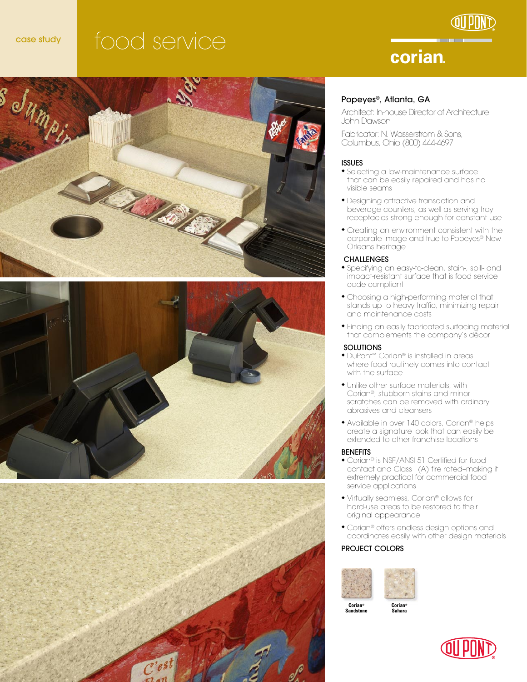# case study food service

# corian.







#### Popeyes®, Atlanta, GA

Architect: In-house Director of Architecture John Dawson

Fabricator: N. Wasserstrom & Sons, Columbus, Ohio (800) 444-4697

#### ISSUES

- Selecting a low-maintenance surface that can be easily repaired and has no visible seams
- Designing attractive transaction and beverage counters, as well as serving tray receptacles strong enough for constant use
- Creating an environment consistent with the corporate image and true to Popeyes® New Orleans heritage

#### **CHALLENGES**

- Specifying an easy-to-clean, stain-, spill- and impact-resistant surface that is food service code compliant
- Choosing a high-performing material that stands up to heavy traffic, minimizing repair and maintenance costs
- Finding an easily fabricated surfacing material that complements the company's décor

#### **SOLUTIONS**

- ◆ DuPont™ Corian® is installed in areas where food routinely comes into contact with the surface
- Unlike other surface materials, with Corian®, stubborn stains and minor scratches can be removed with ordinary abrasives and cleansers
- Available in over 140 colors, Corian® helps create a signature look that can easily be extended to other franchise locations

#### BENEFITS

- Corian® is NSF/ANSI 51 Certified for food contact and Class I (A) fire rated–making it extremely practical for commercial food service applications
- Virtually seamless, Corian® allows for hard-use areas to be restored to their original appearance
- Corian® offers endless design options and coordinates easily with other design materials

#### PROJECT COLORS



**Corian® Sandstone**  **Corian® Sahara**